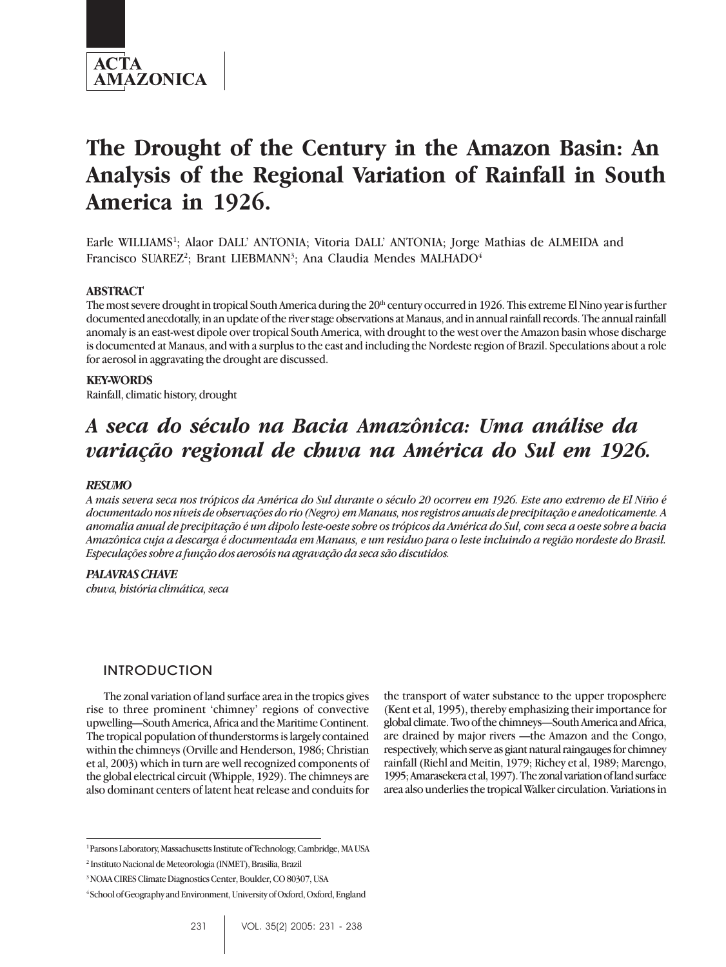

# **The Drought of the Century in the Amazon Basin: An Analysis of the Regional Variation of Rainfall in South America in 1926.**

Earle WILLIAMS<sup>1</sup>; Alaor DALL' ANTONIA; Vitoria DALL' ANTONIA; Jorge Mathias de ALMEIDA and Francisco SUAREZ<sup>2</sup>; Brant LIEBMANN<sup>3</sup>; Ana Claudia Mendes MALHADO<sup>4</sup>

### **ABSTRACT**

The most severe drought in tropical South America during the  $20<sup>th</sup>$  century occurred in 1926. This extreme El Nino year is further documented anecdotally, in an update of the river stage observations at Manaus, and in annual rainfall records. The annual rainfall anomaly is an east-west dipole over tropical South America, with drought to the west over the Amazon basin whose discharge is documented at Manaus, and with a surplus to the east and including the Nordeste region of Brazil. Speculations about a role for aerosol in aggravating the drought are discussed.

#### **KEY-WORDS**

Rainfall, climatic history, drought

# *A seca do século na Bacia Amazônica: Uma análise da variação regional de chuva na América do Sul em 1926.*

#### *RESUMO*

*A mais severa seca nos trópicos da América do Sul durante o século 20 ocorreu em 1926. Este ano extremo de El Niño é documentado nos níveis de observações do rio (Negro) em Manaus, nos registros anuais de precipitação e anedoticamente. A anomalia anual de precipitação é um dipolo leste-oeste sobre os trópicos da América do Sul, com seca a oeste sobre a bacia Amazônica cuja a descarga é documentada em Manaus, e um residuo para o leste incluindo a região nordeste do Brasil. Especulações sobre a função dos aerosóis na agravação da seca são discutidos.*

### *PALAVRAS CHAVE*

*chuva, história climática, seca*

# INTRODUCTION

The zonal variation of land surface area in the tropics gives rise to three prominent 'chimney' regions of convective upwelling—South America, Africa and the Maritime Continent. The tropical population of thunderstorms is largely contained within the chimneys (Orville and Henderson, 1986; Christian et al, 2003) which in turn are well recognized components of the global electrical circuit (Whipple, 1929). The chimneys are also dominant centers of latent heat release and conduits for

the transport of water substance to the upper troposphere (Kent et al, 1995), thereby emphasizing their importance for global climate. Two of the chimneys—South America and Africa, are drained by major rivers —the Amazon and the Congo, respectively, which serve as giant natural raingauges for chimney rainfall (Riehl and Meitin, 1979; Richey et al, 1989; Marengo, 1995; Amarasekera et al, 1997). The zonal variation of land surface area also underlies the tropical Walker circulation. Variations in

<sup>1</sup> Parsons Laboratory, Massachusetts Institute of Technology, Cambridge, MA USA

<sup>2</sup> Instituto Nacional de Meteorologia (INMET), Brasilia, Brazil

<sup>3</sup> NOAA CIRES Climate Diagnostics Center, Boulder, CO 80307, USA

<sup>4</sup> School of Geography and Environment, University of Oxford, Oxford, England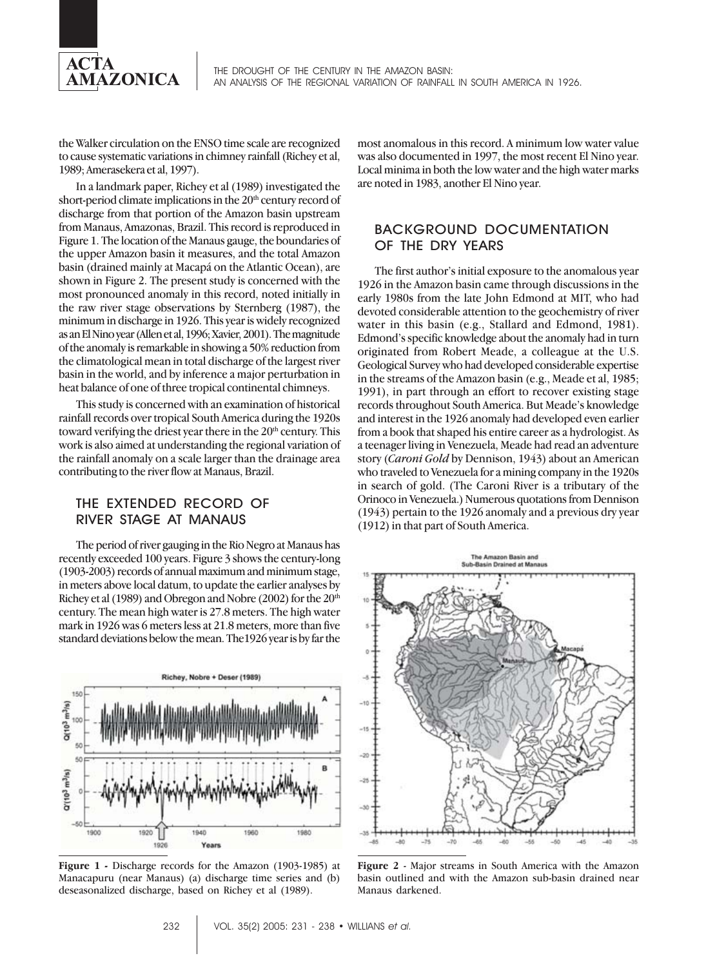

the Walker circulation on the ENSO time scale are recognized to cause systematic variations in chimney rainfall (Richey et al, 1989; Amerasekera et al, 1997).

In a landmark paper, Richey et al (1989) investigated the short-period climate implications in the  $20<sup>th</sup>$  century record of discharge from that portion of the Amazon basin upstream from Manaus, Amazonas, Brazil. This record is reproduced in Figure 1. The location of the Manaus gauge, the boundaries of the upper Amazon basin it measures, and the total Amazon basin (drained mainly at Macapá on the Atlantic Ocean), are shown in Figure 2. The present study is concerned with the most pronounced anomaly in this record, noted initially in the raw river stage observations by Sternberg (1987), the minimum in discharge in 1926. This year is widely recognized as an El Nino year (Allen et al, 1996; Xavier, 2001). The magnitude of the anomaly is remarkable in showing a 50% reduction from the climatological mean in total discharge of the largest river basin in the world, and by inference a major perturbation in heat balance of one of three tropical continental chimneys.

This study is concerned with an examination of historical rainfall records over tropical South America during the 1920s toward verifying the driest year there in the 20<sup>th</sup> century. This work is also aimed at understanding the regional variation of the rainfall anomaly on a scale larger than the drainage area contributing to the river flow at Manaus, Brazil.

# THE EXTENDED RECORD OF RIVER STAGE AT MANAUS

The period of river gauging in the Rio Negro at Manaus has recently exceeded 100 years. Figure 3 shows the century-long (1903-2003) records of annual maximum and minimum stage, in meters above local datum, to update the earlier analyses by Richey et al (1989) and Obregon and Nobre (2002) for the  $20<sup>th</sup>$ century. The mean high water is 27.8 meters. The high water mark in 1926 was 6 meters less at 21.8 meters, more than five standard deviations below the mean. The1926 year is by far the



**Figure 1 -** Discharge records for the Amazon (1903-1985) at Manacapuru (near Manaus) (a) discharge time series and (b) deseasonalized discharge, based on Richey et al (1989).

most anomalous in this record. A minimum low water value was also documented in 1997, the most recent El Nino year. Local minima in both the low water and the high water marks are noted in 1983, another El Nino year.

# BACKGROUND DOCUMENTATION OF THE DRY YEARS

The first author's initial exposure to the anomalous year 1926 in the Amazon basin came through discussions in the early 1980s from the late John Edmond at MIT, who had devoted considerable attention to the geochemistry of river water in this basin (e.g., Stallard and Edmond, 1981). Edmond's specific knowledge about the anomaly had in turn originated from Robert Meade, a colleague at the U.S. Geological Survey who had developed considerable expertise in the streams of the Amazon basin (e.g., Meade et al, 1985; 1991), in part through an effort to recover existing stage records throughout South America. But Meade's knowledge and interest in the 1926 anomaly had developed even earlier from a book that shaped his entire career as a hydrologist. As a teenager living in Venezuela, Meade had read an adventure story (*Caroni Gold* by Dennison, 1943) about an American who traveled to Venezuela for a mining company in the 1920s in search of gold. (The Caroni River is a tributary of the Orinoco in Venezuela.) Numerous quotations from Dennison (1943) pertain to the 1926 anomaly and a previous dry year (1912) in that part of South America.



**Figure 2** - Major streams in South America with the Amazon basin outlined and with the Amazon sub-basin drained near Manaus darkened.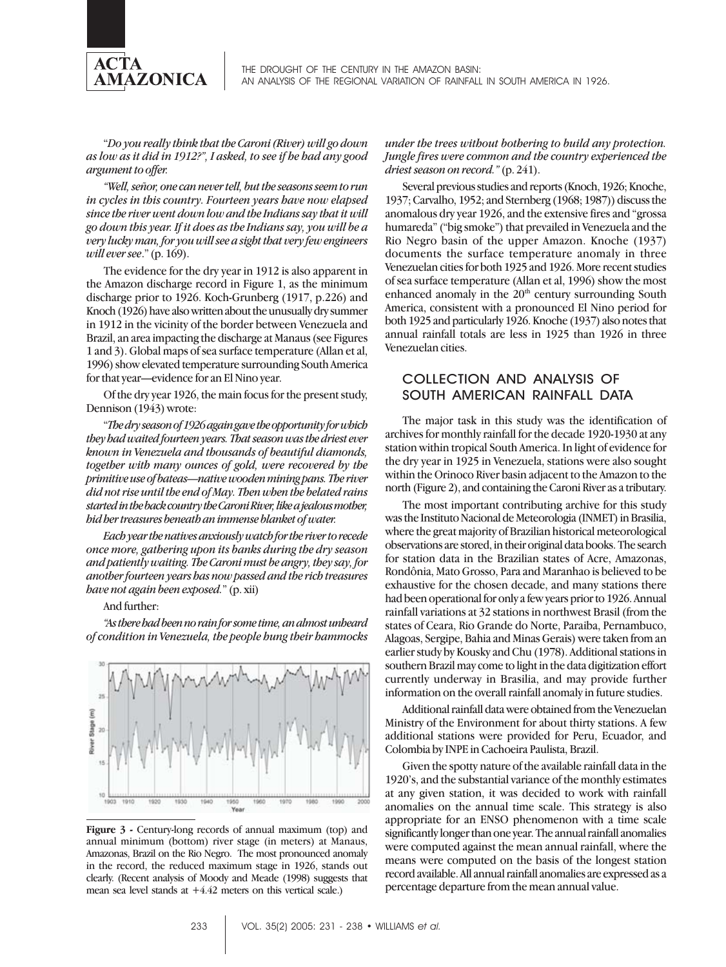

"*Do you really think that the Caroni (River) will go down as low as it did in 1912?", I asked, to see if he had any good argument to offer.*

*"Well, señor, one can never tell, but the seasons seem to run in cycles in this country. Fourteen years have now elapsed since the river went down low and the Indians say that it will go down this year. If it does as the Indians say, you will be a very lucky man, for you will see a sight that very few engineers will ever see*." (p. 169).

The evidence for the dry year in 1912 is also apparent in the Amazon discharge record in Figure 1, as the minimum discharge prior to 1926. Koch-Grunberg (1917, p.226) and Knoch (1926) have also written about the unusually dry summer in 1912 in the vicinity of the border between Venezuela and Brazil, an area impacting the discharge at Manaus (see Figures 1 and 3). Global maps of sea surface temperature (Allan et al, 1996) show elevated temperature surrounding South America for that year—evidence for an El Nino year.

Of the dry year 1926, the main focus for the present study, Dennison (1943) wrote:

"*The dry season of 1926 again gave the opportunity for which they had waited fourteen years. That season was the driest ever known in Venezuela and thousands of beautiful diamonds, together with many ounces of gold, were recovered by the primitive use of bateas—native wooden mining pans. The river did not rise until the end of May. Then when the belated rains started in the back country the Caroni River, like a jealous mother, hid her treasures beneath an immense blanket of water.*

*Each year the natives anxiously watch for the river to recede once more, gathering upon its banks during the dry season and patiently waiting. The Caroni must be angry, they say, for another fourteen years has now passed and the rich treasures have not again been exposed.*" (p. xii)

#### And further:

*"As there had been no rain for some time, an almost unheard of condition in Venezuela, the people hung their hammocks*



**Figure 3 -** Century-long records of annual maximum (top) and annual minimum (bottom) river stage (in meters) at Manaus, Amazonas, Brazil on the Rio Negro. The most pronounced anomaly in the record, the reduced maximum stage in 1926, stands out clearly. (Recent analysis of Moody and Meade (1998) suggests that mean sea level stands at  $+4.42$  meters on this vertical scale.)

*under the trees without bothering to build any protection. Jungle fires were common and the country experienced the driest season on record."* (p. 241).

Several previous studies and reports (Knoch, 1926; Knoche, 1937; Carvalho, 1952; and Sternberg (1968; 1987)) discuss the anomalous dry year 1926, and the extensive fires and "grossa humareda" ("big smoke") that prevailed in Venezuela and the Rio Negro basin of the upper Amazon. Knoche (1937) documents the surface temperature anomaly in three Venezuelan cities for both 1925 and 1926. More recent studies of sea surface temperature (Allan et al, 1996) show the most enhanced anomaly in the 20<sup>th</sup> century surrounding South America, consistent with a pronounced El Nino period for both 1925 and particularly 1926. Knoche (1937) also notes that annual rainfall totals are less in 1925 than 1926 in three Venezuelan cities.

# COLLECTION AND ANALYSIS OF SOUTH AMERICAN RAINFALL DATA

The major task in this study was the identification of archives for monthly rainfall for the decade 1920-1930 at any station within tropical South America. In light of evidence for the dry year in 1925 in Venezuela, stations were also sought within the Orinoco River basin adjacent to the Amazon to the north (Figure 2), and containing the Caroni River as a tributary.

The most important contributing archive for this study was the Instituto Nacional de Meteorologia (INMET) in Brasilia, where the great majority of Brazilian historical meteorological observations are stored, in their original data books. The search for station data in the Brazilian states of Acre, Amazonas, Rondônia, Mato Grosso, Para and Maranhao is believed to be exhaustive for the chosen decade, and many stations there had been operational for only a few years prior to 1926. Annual rainfall variations at 32 stations in northwest Brasil (from the states of Ceara, Rio Grande do Norte, Paraiba, Pernambuco, Alagoas, Sergipe, Bahia and Minas Gerais) were taken from an earlier study by Kousky and Chu (1978). Additional stations in southern Brazil may come to light in the data digitization effort currently underway in Brasilia, and may provide further information on the overall rainfall anomaly in future studies.

Additional rainfall data were obtained from the Venezuelan Ministry of the Environment for about thirty stations. A few additional stations were provided for Peru, Ecuador, and Colombia by INPE in Cachoeira Paulista, Brazil.

Given the spotty nature of the available rainfall data in the 1920's, and the substantial variance of the monthly estimates at any given station, it was decided to work with rainfall anomalies on the annual time scale. This strategy is also appropriate for an ENSO phenomenon with a time scale significantly longer than one year. The annual rainfall anomalies were computed against the mean annual rainfall, where the means were computed on the basis of the longest station record available. All annual rainfall anomalies are expressed as a percentage departure from the mean annual value.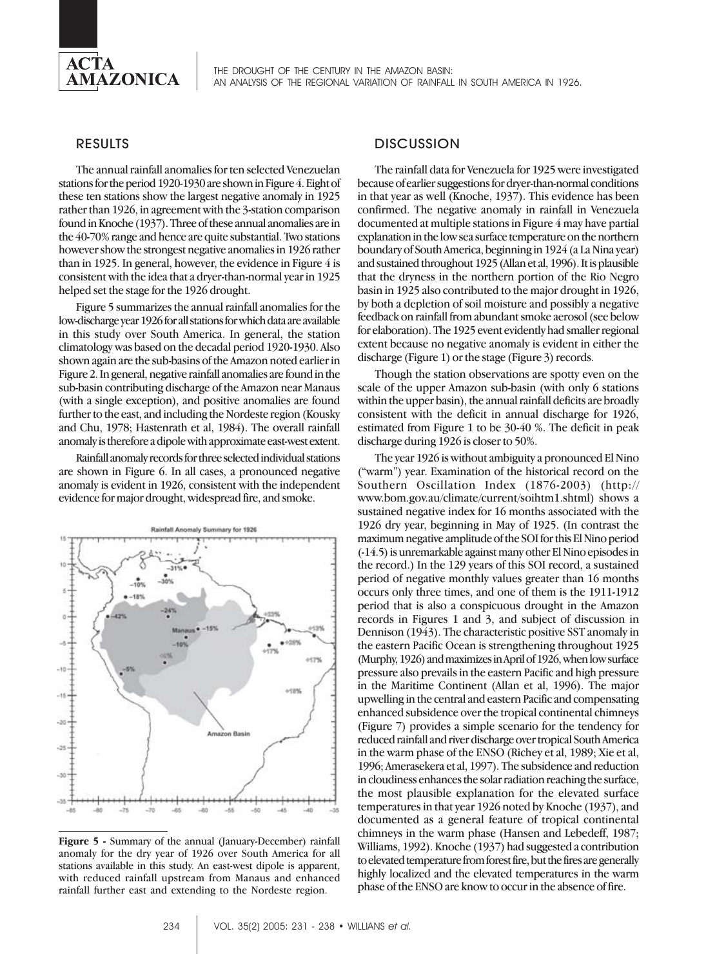

THE DROUGHT OF THE CENTURY IN THE AMAZON BASIN: AN ANALYSIS OF THE REGIONAL VARIATION OF RAINFALL IN SOUTH AMERICA IN 1926.

## RESULTS

The annual rainfall anomalies for ten selected Venezuelan stations for the period 1920-1930 are shown in Figure 4. Eight of these ten stations show the largest negative anomaly in 1925 rather than 1926, in agreement with the 3-station comparison found in Knoche (1937). Three of these annual anomalies are in the 40-70% range and hence are quite substantial. Two stations however show the strongest negative anomalies in 1926 rather than in 1925. In general, however, the evidence in Figure  $4$  is consistent with the idea that a dryer-than-normal year in 1925 helped set the stage for the 1926 drought.

Figure 5 summarizes the annual rainfall anomalies for the low-discharge year 1926 for all stations for which data are available in this study over South America. In general, the station climatology was based on the decadal period 1920-1930. Also shown again are the sub-basins of the Amazon noted earlier in Figure 2. In general, negative rainfall anomalies are found in the sub-basin contributing discharge of the Amazon near Manaus (with a single exception), and positive anomalies are found further to the east, and including the Nordeste region (Kousky and Chu, 1978; Hastenrath et al, 1984). The overall rainfall anomaly is therefore a dipole with approximate east-west extent.

Rainfall anomaly records for three selected individual stations are shown in Figure 6. In all cases, a pronounced negative anomaly is evident in 1926, consistent with the independent evidence for major drought, widespread fire, and smoke.



**Figure 5 -** Summary of the annual (January-December) rainfall anomaly for the dry year of 1926 over South America for all stations available in this study. An east-west dipole is apparent, with reduced rainfall upstream from Manaus and enhanced rainfall further east and extending to the Nordeste region.

# **DISCUSSION**

The rainfall data for Venezuela for 1925 were investigated because of earlier suggestions for dryer-than-normal conditions in that year as well (Knoche, 1937). This evidence has been confirmed. The negative anomaly in rainfall in Venezuela documented at multiple stations in Figure 4 may have partial explanation in the low sea surface temperature on the northern boundary of South America, beginning in 1924 (a La Nina year) and sustained throughout 1925 (Allan et al, 1996). It is plausible that the dryness in the northern portion of the Rio Negro basin in 1925 also contributed to the major drought in 1926, by both a depletion of soil moisture and possibly a negative feedback on rainfall from abundant smoke aerosol (see below for elaboration). The 1925 event evidently had smaller regional extent because no negative anomaly is evident in either the discharge (Figure 1) or the stage (Figure 3) records.

Though the station observations are spotty even on the scale of the upper Amazon sub-basin (with only 6 stations within the upper basin), the annual rainfall deficits are broadly consistent with the deficit in annual discharge for 1926, estimated from Figure 1 to be 30-40 %. The deficit in peak discharge during 1926 is closer to 50%.

The year 1926 is without ambiguity a pronounced El Nino ("warm") year. Examination of the historical record on the Southern Oscillation Index (1876-2003) (http:// www.bom.gov.au/climate/current/soihtm1.shtml) shows a sustained negative index for 16 months associated with the 1926 dry year, beginning in May of 1925. (In contrast the maximum negative amplitude of the SOI for this El Nino period (-14.5) is unremarkable against many other El Nino episodes in the record.) In the 129 years of this SOI record, a sustained period of negative monthly values greater than 16 months occurs only three times, and one of them is the 1911-1912 period that is also a conspicuous drought in the Amazon records in Figures 1 and 3, and subject of discussion in Dennison (1943). The characteristic positive SST anomaly in the eastern Pacific Ocean is strengthening throughout 1925 (Murphy, 1926) and maximizes in April of 1926, when low surface pressure also prevails in the eastern Pacific and high pressure in the Maritime Continent (Allan et al, 1996). The major upwelling in the central and eastern Pacific and compensating enhanced subsidence over the tropical continental chimneys (Figure 7) provides a simple scenario for the tendency for reduced rainfall and river discharge over tropical South America in the warm phase of the ENSO (Richey et al, 1989; Xie et al, 1996; Amerasekera et al, 1997). The subsidence and reduction in cloudiness enhances the solar radiation reaching the surface, the most plausible explanation for the elevated surface temperatures in that year 1926 noted by Knoche (1937), and documented as a general feature of tropical continental chimneys in the warm phase (Hansen and Lebedeff, 1987; Williams, 1992). Knoche (1937) had suggested a contribution to elevated temperature from forest fire, but the fires are generally highly localized and the elevated temperatures in the warm phase of the ENSO are know to occur in the absence of fire.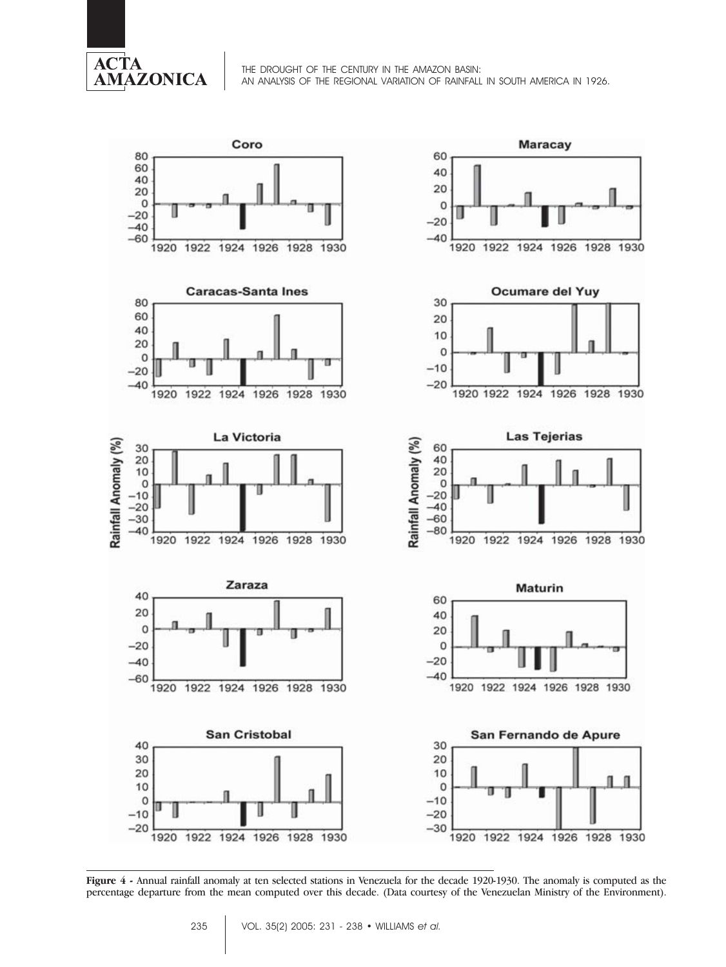

THE DROUGHT OF THE CENTURY IN THE AMAZON BASIN: AN ANALYSIS OF THE REGIONAL VARIATION OF RAINFALL IN SOUTH AMERICA IN 1926.



**Figure 4 -** Annual rainfall anomaly at ten selected stations in Venezuela for the decade 1920-1930. The anomaly is computed as the percentage departure from the mean computed over this decade. (Data courtesy of the Venezuelan Ministry of the Environment).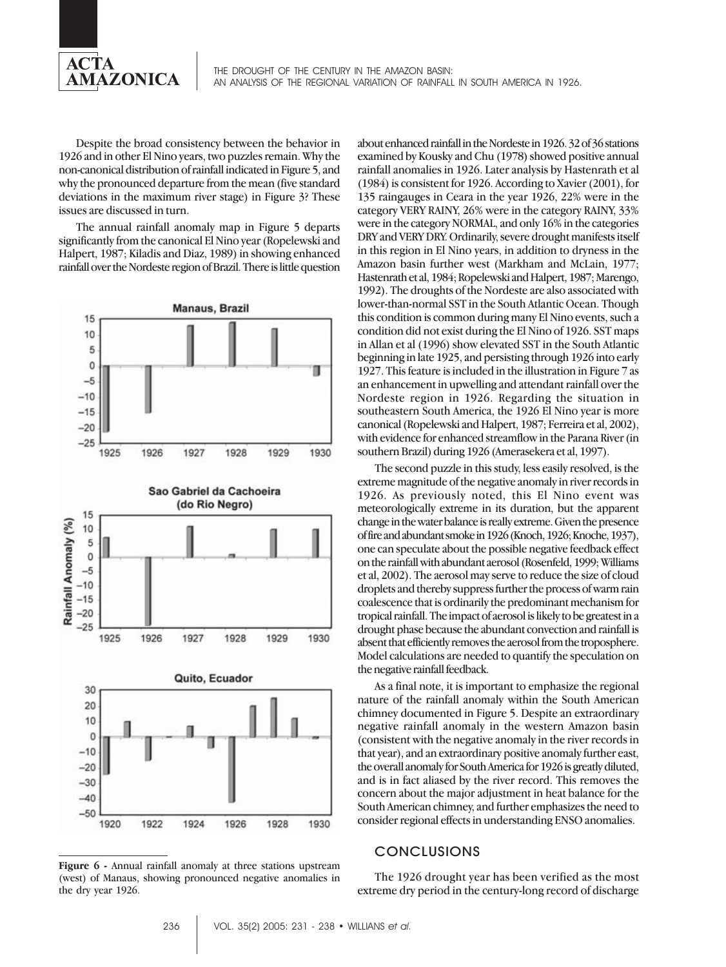

Despite the broad consistency between the behavior in 1926 and in other El Nino years, two puzzles remain. Why the non-canonical distribution of rainfall indicated in Figure 5, and why the pronounced departure from the mean (five standard deviations in the maximum river stage) in Figure 3? These issues are discussed in turn.

The annual rainfall anomaly map in Figure 5 departs significantly from the canonical El Nino year (Ropelewski and Halpert, 1987; Kiladis and Diaz, 1989) in showing enhanced rainfall over the Nordeste region of Brazil. There is little question



**Figure 6 -** Annual rainfall anomaly at three stations upstream (west) of Manaus, showing pronounced negative anomalies in the dry year 1926.

about enhanced rainfall in the Nordeste in 1926. 32 of 36 stations examined by Kousky and Chu (1978) showed positive annual rainfall anomalies in 1926. Later analysis by Hastenrath et al (1984) is consistent for 1926. According to Xavier (2001), for 135 raingauges in Ceara in the year 1926, 22% were in the category VERY RAINY, 26% were in the category RAINY, 33% were in the category NORMAL, and only 16% in the categories DRY and VERY DRY. Ordinarily, severe drought manifests itself in this region in El Nino years, in addition to dryness in the Amazon basin further west (Markham and McLain, 1977; Hastenrath et al, 1984; Ropelewski and Halpert, 1987; Marengo, 1992). The droughts of the Nordeste are also associated with lower-than-normal SST in the South Atlantic Ocean. Though this condition is common during many El Nino events, such a condition did not exist during the El Nino of 1926. SST maps in Allan et al (1996) show elevated SST in the South Atlantic beginning in late 1925, and persisting through 1926 into early 1927. This feature is included in the illustration in Figure 7 as an enhancement in upwelling and attendant rainfall over the Nordeste region in 1926. Regarding the situation in southeastern South America, the 1926 El Nino year is more canonical (Ropelewski and Halpert, 1987; Ferreira et al, 2002), with evidence for enhanced streamflow in the Parana River (in southern Brazil) during 1926 (Amerasekera et al, 1997).

The second puzzle in this study, less easily resolved, is the extreme magnitude of the negative anomaly in river records in 1926. As previously noted, this El Nino event was meteorologically extreme in its duration, but the apparent change in the water balance is really extreme. Given the presence of fire and abundant smoke in 1926 (Knoch, 1926; Knoche, 1937), one can speculate about the possible negative feedback effect on the rainfall with abundant aerosol (Rosenfeld, 1999; Williams et al, 2002). The aerosol may serve to reduce the size of cloud droplets and thereby suppress further the process of warm rain coalescence that is ordinarily the predominant mechanism for tropical rainfall. The impact of aerosol is likely to be greatest in a drought phase because the abundant convection and rainfall is absent that efficiently removes the aerosol from the troposphere. Model calculations are needed to quantify the speculation on the negative rainfall feedback.

As a final note, it is important to emphasize the regional nature of the rainfall anomaly within the South American chimney documented in Figure 5. Despite an extraordinary negative rainfall anomaly in the western Amazon basin (consistent with the negative anomaly in the river records in that year), and an extraordinary positive anomaly further east, the overall anomaly for South America for 1926 is greatly diluted, and is in fact aliased by the river record. This removes the concern about the major adjustment in heat balance for the South American chimney, and further emphasizes the need to consider regional effects in understanding ENSO anomalies.

## **CONCLUSIONS**

The 1926 drought year has been verified as the most extreme dry period in the century-long record of discharge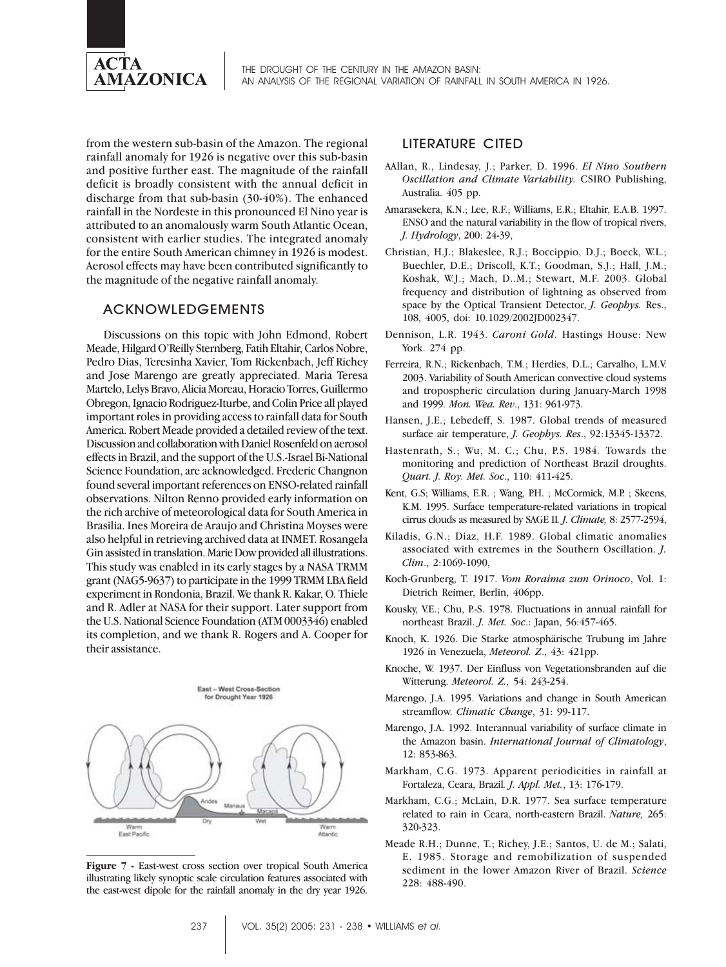

from the western sub-basin of the Amazon. The regional rainfall anomaly for 1926 is negative over this sub-basin and positive further east. The magnitude of the rainfall deficit is broadly consistent with the annual deficit in discharge from that sub-basin (30-40%). The enhanced rainfall in the Nordeste in this pronounced El Nino year is attributed to an anomalously warm South Atlantic Ocean, consistent with earlier studies. The integrated anomaly for the entire South American chimney in 1926 is modest. Aerosol effects may have been contributed significantly to the magnitude of the negative rainfall anomaly.

## ACKNOWLEDGEMENTS

Discussions on this topic with John Edmond, Robert Meade, Hilgard O'Reilly Sternberg, Fatih Eltahir, Carlos Nobre, Pedro Dias, Teresinha Xavier, Tom Rickenbach, Jeff Richey and Jose Marengo are greatly appreciated. Maria Teresa Martelo, Lelys Bravo, Alicia Moreau, Horacio Torres, Guillermo Obregon, Ignacio Rodriguez-Iturbe, and Colin Price all played important roles in providing access to rainfall data for South America. Robert Meade provided a detailed review of the text. Discussion and collaboration with Daniel Rosenfeld on aerosol effects in Brazil, and the support of the U.S.-Israel Bi-National Science Foundation, are acknowledged. Frederic Changnon found several important references on ENSO-related rainfall observations. Nilton Renno provided early information on the rich archive of meteorological data for South America in Brasilia. Ines Moreira de Araujo and Christina Moyses were also helpful in retrieving archived data at INMET. Rosangela Gin assisted in translation. Marie Dow provided all illustrations. This study was enabled in its early stages by a NASA TRMM grant (NAG5-9637) to participate in the 1999 TRMM LBA field experiment in Rondonia, Brazil. We thank R. Kakar, O. Thiele and R. Adler at NASA for their support. Later support from the U.S. National Science Foundation (ATM 0003346) enabled its completion, and we thank R. Rogers and A. Cooper for their assistance.



**Figure 7 -** East-west cross section over tropical South America illustrating likely synoptic scale circulation features associated with the east-west dipole for the rainfall anomaly in the dry year 1926.

## LITERATURE CITED

- AAllan, R., Lindesay, J.; Parker, D. 1996. *El Nino Southern Oscillation and Climate Variability.* CSIRO Publishing, Australia. 405 pp.
- Amarasekera, K.N.; Lee, R.F.; Williams, E.R.; Eltahir, E.A.B. 1997. ENSO and the natural variability in the flow of tropical rivers, *J. Hydrology*, 200: 24-39,
- Christian, H.J.; Blakeslee, R.J.; Boccippio, D.J.; Boeck, W.L.; Buechler, D.E.; Driscoll, K.T.; Goodman, S.J.; Hall, J.M.; Koshak, W.J.; Mach, D..M.; Stewart, M.F. 2003. Global frequency and distribution of lightning as observed from space by the Optical Transient Detector, *J. Geophys.* Res., 108, 4005, doi: 10.1029/2002JD002347.
- Dennison, L.R. 1943. *Caroni Gold*. Hastings House: New York. 274 pp.
- Ferreira, R.N.; Rickenbach, T.M.; Herdies, D.L.; Carvalho, L.M.V. 2003. Variability of South American convective cloud systems and tropospheric circulation during January-March 1998 and 1999*. Mon. Wea. Rev*., 131: 961-973.
- Hansen, J.E.; Lebedeff, S. 1987. Global trends of measured surface air temperature, *J. Geophys. Res*., 92:13345-13372.
- Hastenrath, S.; Wu, M. C.; Chu, P.S. 1984*.* Towards the monitoring and prediction of Northeast Brazil droughts. *Quart. J. Roy. Met. Soc*., 110: 411-425.
- Kent, G.S; Williams, E.R. ; Wang, P.H. ; McCormick, M.P. ; Skeens, K.M. 1995. Surface temperature-related variations in tropical cirrus clouds as measured by SAGE II*. J. Climate,* 8: 2577-2594,
- Kiladis, G.N.; Diaz, H.F. 1989. Global climatic anomalies associated with extremes in the Southern Oscillation. *J. Clim*., 2:1069-1090,
- Koch-Grunberg, T. 1917. *Vom Roraima zum Orinoco*, Vol. 1: Dietrich Reimer, Berlin, 406pp.
- Kousky, V.E.; Chu, P.-S. 1978. Fluctuations in annual rainfall for northeast Brazil. *J. Met. Soc*.: Japan, 56:457-465.
- Knoch, K. 1926. Die Starke atmosphärische Trubung im Jahre 1926 in Venezuela, *Meteorol. Z*., 43: 421pp.
- Knoche, W. 1937. Der Einfluss von Vegetationsbranden auf die Witterung. *Meteorol. Z.,* 54: 243-254.
- Marengo, J.A. 1995. Variations and change in South American streamflow. *Climatic Change*, 31: 99-117.
- Marengo, J.A. 1992. Interannual variability of surface climate in the Amazon basin. *International Journal of Climatology*, 12: 853-863.
- Markham, C.G. 1973. Apparent periodicities in rainfall at Fortaleza, Ceara, Brazil*. J. Appl. Met.*, 13: 176-179.
- Markham, C.G.; McLain, D.R. 1977. Sea surface temperature related to rain in Ceara, north-eastern Brazil. *Nature,* 265: 320-323.
- Meade R.H.; Dunne, T.; Richey, J.E.; Santos, U. de M.; Salati, E. 1985. Storage and remobilization of suspended sediment in the lower Amazon River of Brazil. *Science* 228: 488-490.